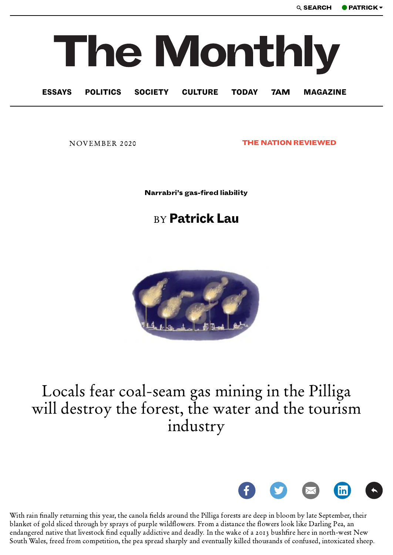## The Monthly

ESSAYS POLITICS SOCIETY CULTURE TODAY 7AM MAGAZINE

NOVEMBER 2020 **THE NATION REVIEWED** 

Narrabri's gas-fired liability

## **BY Patrick Lau**



## Locals fear coal-seam gas mining in the Pilliga will destroy the forest, the water and the tourism industry



With rain finally returning this year, the canola fields around the Pilliga forests are deep in bloom by late September, their blanket of gold sliced through by sprays of purple wildflowers. From a distance the flowers look like Darling Pea, an endangered native that livestock find equally addictive and deadly. In the wake of a 2013 bushfire here in north-west New South Wales, freed from competition, the pea spread sharply and eventually killed thousands of confused, intoxicated sheep.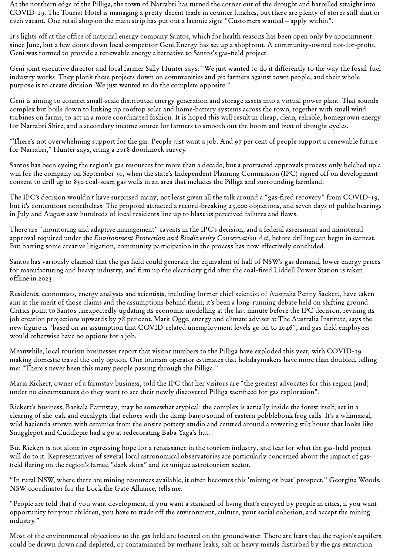At the northern edge of the Pilliga, the town of Narrabri has turned the corner out of the drought and barrelled straight into COVID-. The Tourist Hotel is managing a pretty decent trade in counter lunches, but there are plenty of stores still shut or even vacant. One retail shop on the main strip has put out a laconic sign: "Customers wanted – apply within".

It's lights off at the office of national energy company Santos, which for health reasons has been open only by appointment since June, but a few doors down local competitor Geni.Energy has set up a shopfront. A community-owned not-for-profit, Geni was formed to provide a renewable energy alternative to Santos's gas-field project.

Geni joint executive director and local farmer Sally Hunter says: "We just wanted to do it differently to the way the fossil-fuel industry works. They plonk these projects down on communities and pit farmers against town people, and their whole purpose is to create division. We just wanted to do the complete opposite."

Geni is aiming to connect small-scale distributed energy generation and storage assets into a virtual power plant. That sounds complex but boils down to linking up rooftop solar and home-battery systems across the town, together with small wind turbines on farms, to act in a more coordinated fashion. It is hoped this will result in cheap, clean, reliable, homegrown energy for Narrabri Shire, and a secondary income source for farmers to smooth out the boom and bust of drought cycles.

"There's not overwhelming support for the gas. People just want a job. And 97 per cent of people support a renewable future for Narrabri," Hunter says, citing a 2018 doorknock survey.

Santos has been eyeing the region's gas resources for more than a decade, but a protracted approvals process only belched up a win for the company on September 30, when the state's Independent Planning Commission (IPC) signed off on development consent to drill up to  $850$  coal-seam gas wells in an area that includes the Pilliga and surrounding farmland.

The IPC's decision wouldn't have surprised many, not least given all the talk around a "gas-fired recovery" from COVID-19, but it's contentious nonetheless. The proposal attracted a record-breaking 23,000 objections, and seven days of public hearings in July and August saw hundreds of local residents line up to blast its perceived failures and flaws.

There are "monitoring and adaptive management" caveats in the IPC's decision, and a federal assessment and ministerial approval required under the *Environment Protection and Biodiversity Conservation Act*, before drilling can begin in earnest. But barring some creative litigation, community participation in the process has now effectively concluded.

Santos has variously claimed that the gas field could generate the equivalent of half of NSW's gas demand, lower energy prices for manufacturing and heavy industry, and firm up the electricity grid after the coal-fired Liddell Power Station is taken offline in 2023.

Residents, economists, energy analysts and scientists, including former chief scientist of Australia Penny Sackett, have taken aim at the merit of those claims and the assumptions behind them; it's been a long-running debate held on shifting ground. Critics point to Santos unexpectedly updating its economic modelling at the last minute before the IPC decision, revising its job creation projections upwards by 78 per cent. Mark Ogge, energy and climate adviser at The Australia Institute, says the new figure is "based on an assumption that COVID-related unemployment levels go on to 2046", and gas-field employees would otherwise have no options for a job.

Meanwhile, local tourism businesses report that visitor numbers to the Pilliga have exploded this year, with COVID making domestic travel the only option. One tourism operator estimates that holidaymakers have more than doubled, telling me: "There's never been this many people passing through the Pilliga."

Maria Rickert, owner of a farmstay business, told the IPC that her visitors are "the greatest advocates for this region [and] under no circumstances do they want to see their newly discovered Pilliga sacrificed for gas exploration".

Rickert's business, Barkala Farmstay, may be somewhat atypical: the complex is actually inside the forest itself, set in a clearing of she-oak and eucalypts that echoes with the damp banjo sound of eastern pobblebonk frog calls. It's a whimsical, wild hacienda strewn with ceramics from the onsite pottery studio and centred around a towering stilt house that looks like Snugglepot and Cuddlepie had a go at redecorating Baba Yaga's hut.

But Rickert is not alone in expressing hope for a renaissance in the tourism industry, and fear for what the gas-field project will do to it. Representatives of several local astronomical observatories are particularly concerned about the impact of gasfield flaring on the region's famed "dark skies" and its unique astrotourism sector.

"In rural NSW, where there are mining resources available, it often becomes this 'mining or bust' prospect," Georgina Woods, NSW coordinator for the Lock the Gate Alliance, tells me.

"People are told that if you want development, if you want a standard of living that's enjoyed by people in cities, if you want opportunity for your children, you have to trade off the environment, culture, your social cohesion, and accept the mining industry."

Most of the environmental objections to the gas field are focused on the groundwater. There are fears that the region's aquifers could be drawn down and depleted, or contaminated by methane leaks, salt or heavy metals disturbed by the gas extraction